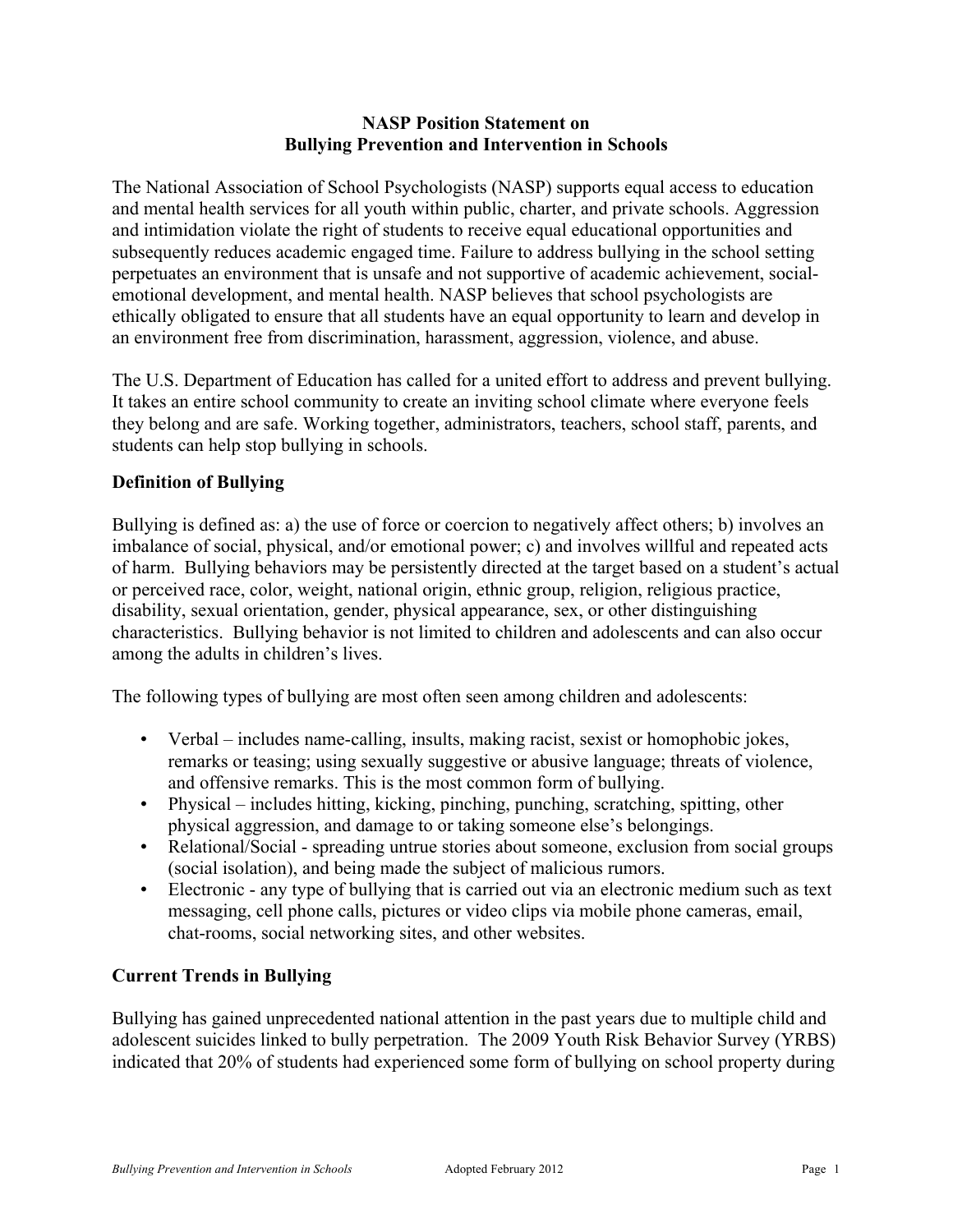### **NASP Position Statement on Bullying Prevention and Intervention in Schools**

The National Association of School Psychologists (NASP) supports equal access to education and mental health services for all youth within public, charter, and private schools. Aggression and intimidation violate the right of students to receive equal educational opportunities and subsequently reduces academic engaged time. Failure to address bullying in the school setting perpetuates an environment that is unsafe and not supportive of academic achievement, socialemotional development, and mental health. NASP believes that school psychologists are ethically obligated to ensure that all students have an equal opportunity to learn and develop in an environment free from discrimination, harassment, aggression, violence, and abuse.

The U.S. Department of Education has called for a united effort to address and prevent bullying. It takes an entire school community to create an inviting school climate where everyone feels they belong and are safe. Working together, administrators, teachers, school staff, parents, and students can help stop bullying in schools.

### **Definition of Bullying**

Bullying is defined as: a) the use of force or coercion to negatively affect others; b) involves an imbalance of social, physical, and/or emotional power; c) and involves willful and repeated acts of harm. Bullying behaviors may be persistently directed at the target based on a student's actual or perceived race, color, weight, national origin, ethnic group, religion, religious practice, disability, sexual orientation, gender, physical appearance, sex, or other distinguishing characteristics. Bullying behavior is not limited to children and adolescents and can also occur among the adults in children's lives.

The following types of bullying are most often seen among children and adolescents:

- Verbal includes name-calling, insults, making racist, sexist or homophobic jokes, remarks or teasing; using sexually suggestive or abusive language; threats of violence, and offensive remarks. This is the most common form of bullying.
- Physical includes hitting, kicking, pinching, punching, scratching, spitting, other physical aggression, and damage to or taking someone else's belongings.
- Relational/Social spreading untrue stories about someone, exclusion from social groups (social isolation), and being made the subject of malicious rumors.
- Electronic any type of bullying that is carried out via an electronic medium such as text messaging, cell phone calls, pictures or video clips via mobile phone cameras, email, chat-rooms, social networking sites, and other websites.

### **Current Trends in Bullying**

Bullying has gained unprecedented national attention in the past years due to multiple child and adolescent suicides linked to bully perpetration. The 2009 Youth Risk Behavior Survey (YRBS) indicated that 20% of students had experienced some form of bullying on school property during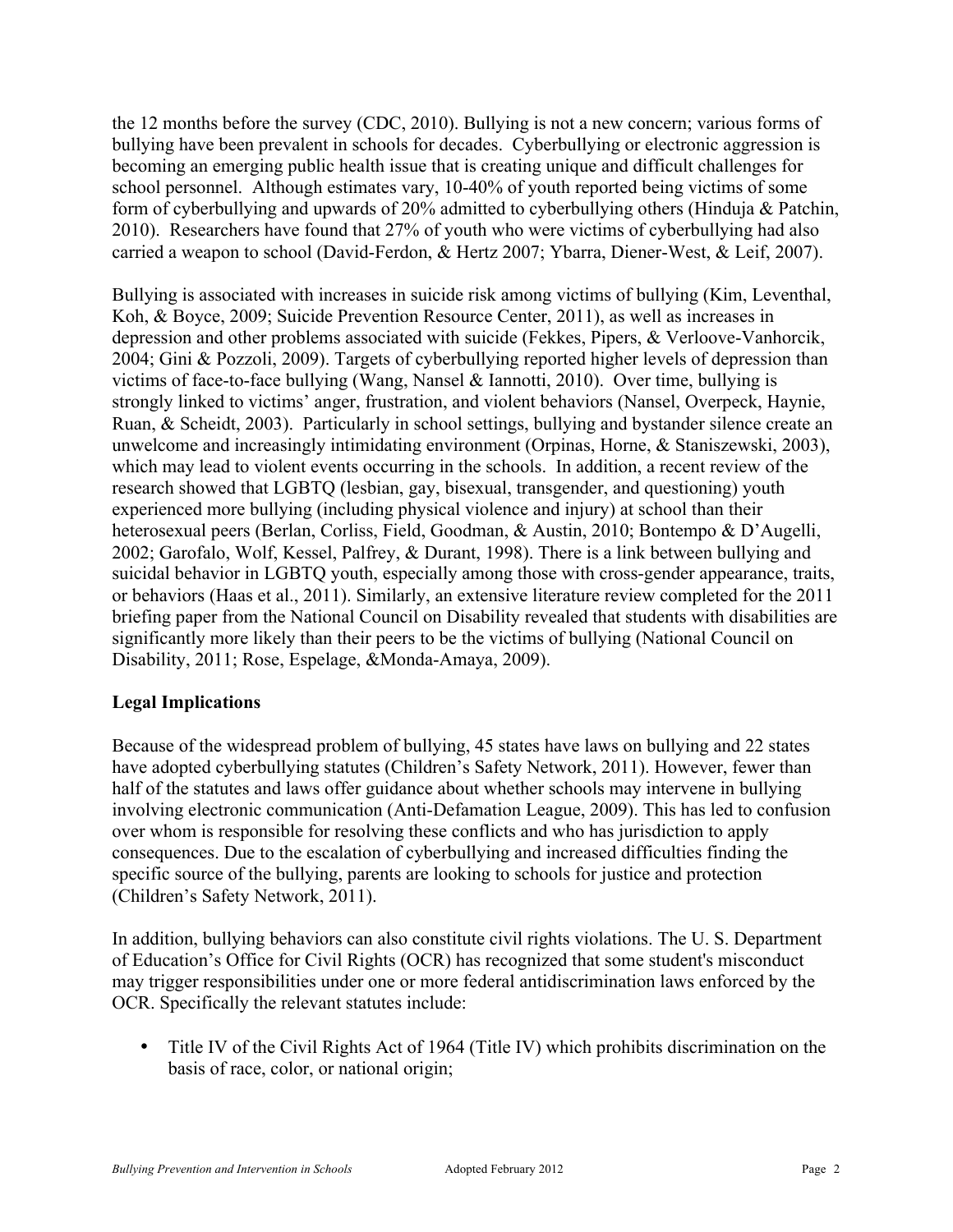the 12 months before the survey (CDC, 2010). Bullying is not a new concern; various forms of bullying have been prevalent in schools for decades. Cyberbullying or electronic aggression is becoming an emerging public health issue that is creating unique and difficult challenges for school personnel. Although estimates vary, 10-40% of youth reported being victims of some form of cyberbullying and upwards of 20% admitted to cyberbullying others (Hinduja & Patchin, 2010). Researchers have found that 27% of youth who were victims of cyberbullying had also carried a weapon to school (David-Ferdon, & Hertz 2007; Ybarra, Diener-West, & Leif, 2007).

Bullying is associated with increases in suicide risk among victims of bullying (Kim, Leventhal, Koh, & Boyce, 2009; Suicide Prevention Resource Center, 2011), as well as increases in depression and other problems associated with suicide (Fekkes, Pipers, & Verloove-Vanhorcik, 2004; Gini & Pozzoli, 2009). Targets of cyberbullying reported higher levels of depression than victims of face-to-face bullying (Wang, Nansel & Iannotti, 2010). Over time, bullying is strongly linked to victims' anger, frustration, and violent behaviors (Nansel, Overpeck, Haynie, Ruan, & Scheidt, 2003). Particularly in school settings, bullying and bystander silence create an unwelcome and increasingly intimidating environment (Orpinas, Horne, & Staniszewski, 2003), which may lead to violent events occurring in the schools. In addition, a recent review of the research showed that LGBTQ (lesbian, gay, bisexual, transgender, and questioning) youth experienced more bullying (including physical violence and injury) at school than their heterosexual peers (Berlan, Corliss, Field, Goodman, & Austin, 2010; Bontempo & D'Augelli, 2002; Garofalo, Wolf, Kessel, Palfrey, & Durant, 1998). There is a link between bullying and suicidal behavior in LGBTQ youth, especially among those with cross-gender appearance, traits, or behaviors (Haas et al., 2011). Similarly, an extensive literature review completed for the 2011 briefing paper from the National Council on Disability revealed that students with disabilities are significantly more likely than their peers to be the victims of bullying (National Council on Disability, 2011; Rose, Espelage, &Monda-Amaya, 2009).

# **Legal Implications**

Because of the widespread problem of bullying, 45 states have laws on bullying and 22 states have adopted cyberbullying statutes (Children's Safety Network, 2011). However, fewer than half of the statutes and laws offer guidance about whether schools may intervene in bullying involving electronic communication (Anti-Defamation League, 2009). This has led to confusion over whom is responsible for resolving these conflicts and who has jurisdiction to apply consequences. Due to the escalation of cyberbullying and increased difficulties finding the specific source of the bullying, parents are looking to schools for justice and protection (Children's Safety Network, 2011).

In addition, bullying behaviors can also constitute civil rights violations. The U. S. Department of Education's Office for Civil Rights (OCR) has recognized that some student's misconduct may trigger responsibilities under one or more federal antidiscrimination laws enforced by the OCR. Specifically the relevant statutes include:

• Title IV of the Civil Rights Act of 1964 (Title IV) which prohibits discrimination on the basis of race, color, or national origin;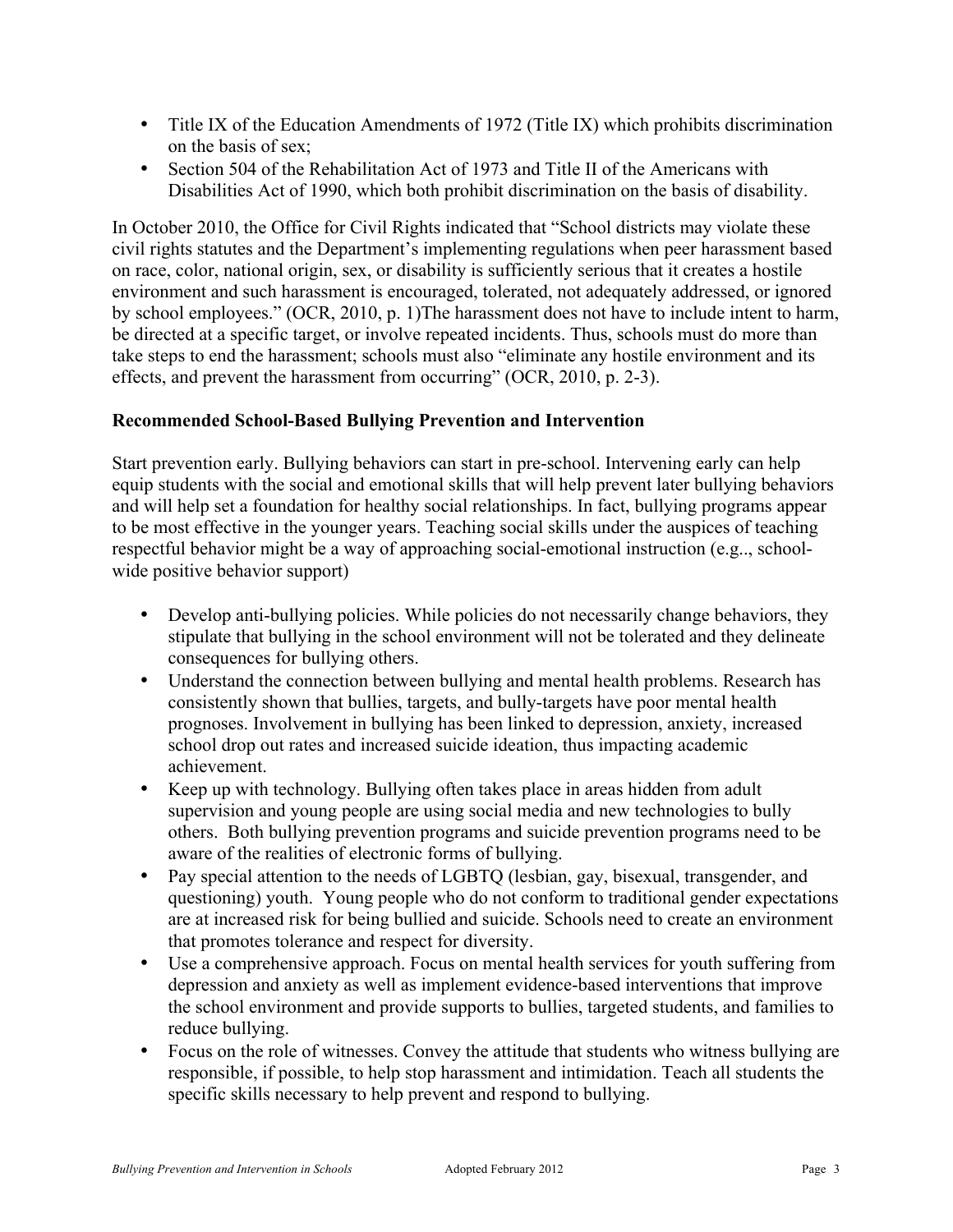- Title IX of the Education Amendments of 1972 (Title IX) which prohibits discrimination on the basis of sex;
- Section 504 of the Rehabilitation Act of 1973 and Title II of the Americans with Disabilities Act of 1990, which both prohibit discrimination on the basis of disability.

In October 2010, the Office for Civil Rights indicated that "School districts may violate these civil rights statutes and the Department's implementing regulations when peer harassment based on race, color, national origin, sex, or disability is sufficiently serious that it creates a hostile environment and such harassment is encouraged, tolerated, not adequately addressed, or ignored by school employees." (OCR, 2010, p. 1)The harassment does not have to include intent to harm, be directed at a specific target, or involve repeated incidents. Thus, schools must do more than take steps to end the harassment; schools must also "eliminate any hostile environment and its effects, and prevent the harassment from occurring" (OCR, 2010, p. 2-3).

# **Recommended School-Based Bullying Prevention and Intervention**

Start prevention early. Bullying behaviors can start in pre-school. Intervening early can help equip students with the social and emotional skills that will help prevent later bullying behaviors and will help set a foundation for healthy social relationships. In fact, bullying programs appear to be most effective in the younger years. Teaching social skills under the auspices of teaching respectful behavior might be a way of approaching social-emotional instruction (e.g.., schoolwide positive behavior support)

- Develop anti-bullying policies. While policies do not necessarily change behaviors, they stipulate that bullying in the school environment will not be tolerated and they delineate consequences for bullying others.
- Understand the connection between bullying and mental health problems. Research has consistently shown that bullies, targets, and bully-targets have poor mental health prognoses. Involvement in bullying has been linked to depression, anxiety, increased school drop out rates and increased suicide ideation, thus impacting academic achievement.
- Keep up with technology. Bullying often takes place in areas hidden from adult supervision and young people are using social media and new technologies to bully others. Both bullying prevention programs and suicide prevention programs need to be aware of the realities of electronic forms of bullying.
- Pay special attention to the needs of LGBTO (lesbian, gay, bisexual, transgender, and questioning) youth. Young people who do not conform to traditional gender expectations are at increased risk for being bullied and suicide. Schools need to create an environment that promotes tolerance and respect for diversity.
- Use a comprehensive approach. Focus on mental health services for youth suffering from depression and anxiety as well as implement evidence-based interventions that improve the school environment and provide supports to bullies, targeted students, and families to reduce bullying.
- Focus on the role of witnesses. Convey the attitude that students who witness bullying are responsible, if possible, to help stop harassment and intimidation. Teach all students the specific skills necessary to help prevent and respond to bullying.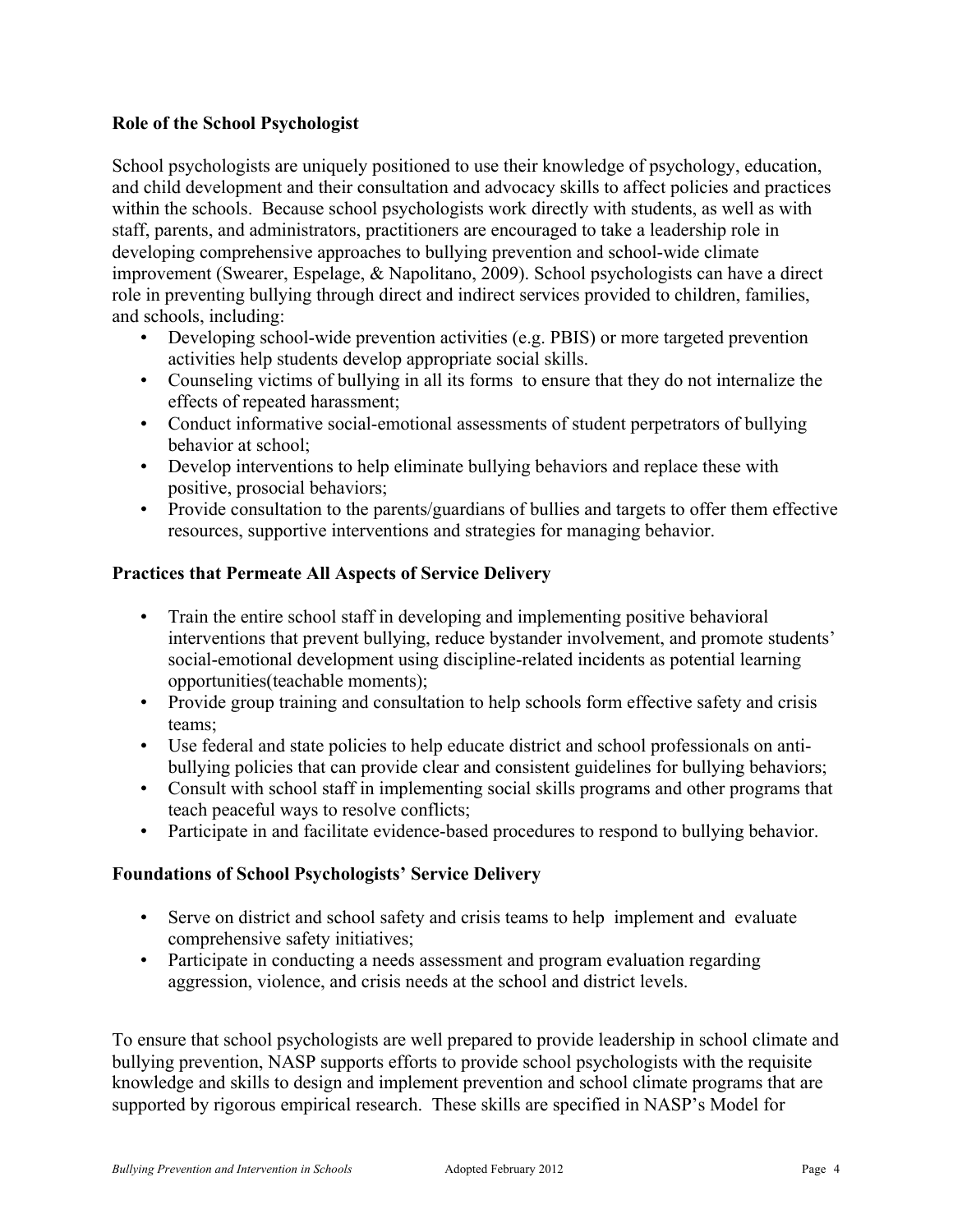## **Role of the School Psychologist**

School psychologists are uniquely positioned to use their knowledge of psychology, education, and child development and their consultation and advocacy skills to affect policies and practices within the schools. Because school psychologists work directly with students, as well as with staff, parents, and administrators, practitioners are encouraged to take a leadership role in developing comprehensive approaches to bullying prevention and school-wide climate improvement (Swearer, Espelage, & Napolitano, 2009). School psychologists can have a direct role in preventing bullying through direct and indirect services provided to children, families, and schools, including:

- Developing school-wide prevention activities (e.g. PBIS) or more targeted prevention activities help students develop appropriate social skills.
- Counseling victims of bullying in all its forms to ensure that they do not internalize the effects of repeated harassment;
- Conduct informative social-emotional assessments of student perpetrators of bullying behavior at school;
- Develop interventions to help eliminate bullying behaviors and replace these with positive, prosocial behaviors;
- Provide consultation to the parents/guardians of bullies and targets to offer them effective resources, supportive interventions and strategies for managing behavior.

### **Practices that Permeate All Aspects of Service Delivery**

- Train the entire school staff in developing and implementing positive behavioral interventions that prevent bullying, reduce bystander involvement, and promote students' social-emotional development using discipline-related incidents as potential learning opportunities(teachable moments);
- Provide group training and consultation to help schools form effective safety and crisis teams;
- Use federal and state policies to help educate district and school professionals on antibullying policies that can provide clear and consistent guidelines for bullying behaviors;
- Consult with school staff in implementing social skills programs and other programs that teach peaceful ways to resolve conflicts;
- Participate in and facilitate evidence-based procedures to respond to bullying behavior.

### **Foundations of School Psychologists' Service Delivery**

- Serve on district and school safety and crisis teams to help implement and evaluate comprehensive safety initiatives;
- Participate in conducting a needs assessment and program evaluation regarding aggression, violence, and crisis needs at the school and district levels.

To ensure that school psychologists are well prepared to provide leadership in school climate and bullying prevention, NASP supports efforts to provide school psychologists with the requisite knowledge and skills to design and implement prevention and school climate programs that are supported by rigorous empirical research. These skills are specified in NASP's Model for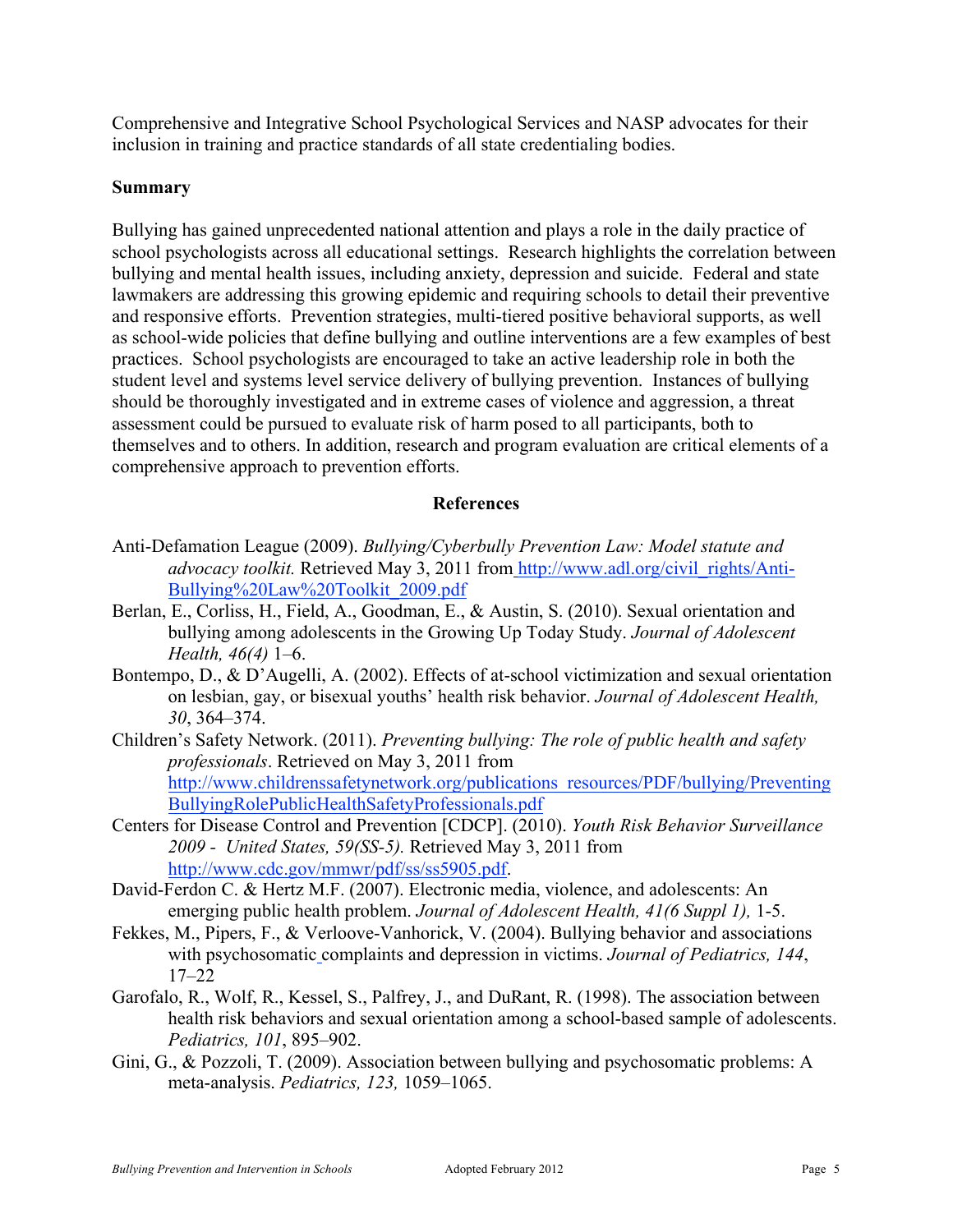Comprehensive and Integrative School Psychological Services and NASP advocates for their inclusion in training and practice standards of all state credentialing bodies.

## **Summary**

Bullying has gained unprecedented national attention and plays a role in the daily practice of school psychologists across all educational settings. Research highlights the correlation between bullying and mental health issues, including anxiety, depression and suicide. Federal and state lawmakers are addressing this growing epidemic and requiring schools to detail their preventive and responsive efforts. Prevention strategies, multi-tiered positive behavioral supports, as well as school-wide policies that define bullying and outline interventions are a few examples of best practices. School psychologists are encouraged to take an active leadership role in both the student level and systems level service delivery of bullying prevention. Instances of bullying should be thoroughly investigated and in extreme cases of violence and aggression, a threat assessment could be pursued to evaluate risk of harm posed to all participants, both to themselves and to others. In addition, research and program evaluation are critical elements of a comprehensive approach to prevention efforts.

### **References**

- Anti-Defamation League (2009). *Bullying/Cyberbully Prevention Law: Model statute and advocacy toolkit.* Retrieved May 3, 2011 from http://www.adl.org/civil\_rights/Anti-Bullying%20Law%20Toolkit\_2009.pdf
- Berlan, E., Corliss, H., Field, A., Goodman, E., & Austin, S. (2010). Sexual orientation and bullying among adolescents in the Growing Up Today Study. *Journal of Adolescent Health, 46(4)* 1–6.
- Bontempo, D., & D'Augelli, A. (2002). Effects of at-school victimization and sexual orientation on lesbian, gay, or bisexual youths' health risk behavior. *Journal of Adolescent Health, 30*, 364–374.
- Children's Safety Network. (2011). *Preventing bullying: The role of public health and safety professionals*. Retrieved on May 3, 2011 from http://www.childrenssafetynetwork.org/publications\_resources/PDF/bullying/Preventing BullyingRolePublicHealthSafetyProfessionals.pdf
- Centers for Disease Control and Prevention [CDCP]. (2010). *Youth Risk Behavior Surveillance 2009 - United States, 59(SS-5).* Retrieved May 3, 2011 from http://www.cdc.gov/mmwr/pdf/ss/ss5905.pdf.
- David-Ferdon C. & Hertz M.F. (2007). Electronic media, violence, and adolescents: An emerging public health problem. *Journal of Adolescent Health, 41(6 Suppl 1),* 1-5.
- Fekkes, M., Pipers, F., & Verloove-Vanhorick, V. (2004). Bullying behavior and associations with psychosomatic complaints and depression in victims. *Journal of Pediatrics, 144*, 17–22
- Garofalo, R., Wolf, R., Kessel, S., Palfrey, J., and DuRant, R. (1998). The association between health risk behaviors and sexual orientation among a school-based sample of adolescents. *Pediatrics, 101*, 895–902.
- Gini, G., & Pozzoli, T. (2009). Association between bullying and psychosomatic problems: A meta-analysis. *Pediatrics, 123,* 1059–1065.